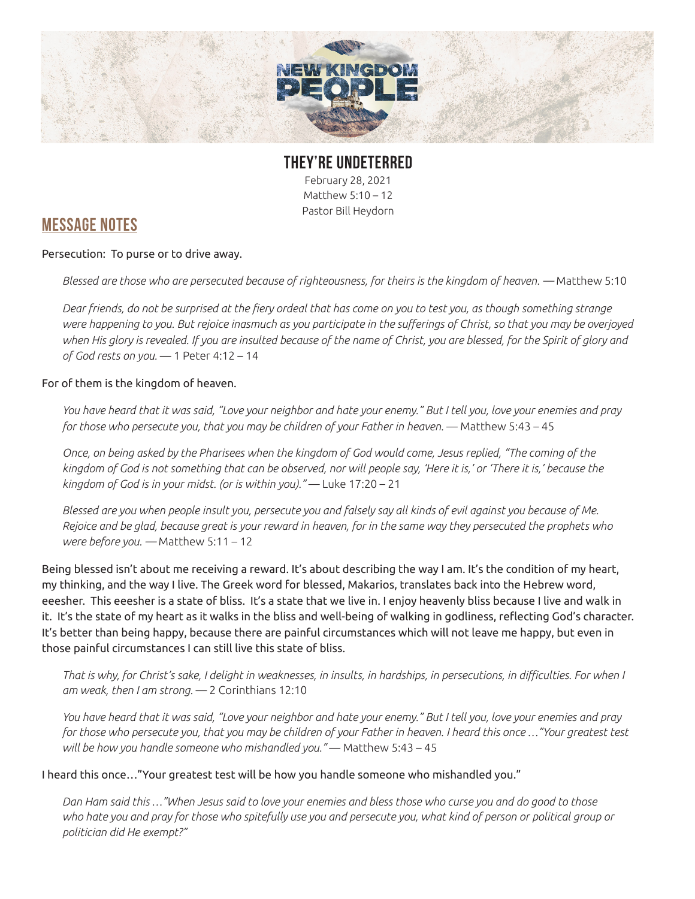

**THEY'RE UNDETERRED** February 28, 2021 Matthew 5:10 – 12

Pastor Bill Heydorn

## **MESSAGE NOTES**

Persecution: To purse or to drive away.

*Blessed are those who are persecuted because of righteousness, for theirs is the kingdom of heaven. —* Matthew 5:10

*Dear friends, do not be surprised at the fiery ordeal that has come on you to test you, as though something strange were happening to you. But rejoice inasmuch as you participate in the sufferings of Christ, so that you may be overjoyed when His glory is revealed. If you are insulted because of the name of Christ, you are blessed, for the Spirit of glory and of God rests on you.* — 1 Peter 4:12 – 14

## For of them is the kingdom of heaven.

*You have heard that it was said, "Love your neighbor and hate your enemy." But I tell you, love your enemies and pray for those who persecute you, that you may be children of your Father in heaven.* — Matthew 5:43 – 45

*Once, on being asked by the Pharisees when the kingdom of God would come, Jesus replied, "The coming of the kingdom of God is not something that can be observed, nor will people say, 'Here it is,' or 'There it is,' because the kingdom of God is in your midst. (or is within you)."* — Luke 17:20 – 21

*Blessed are you when people insult you, persecute you and falsely say all kinds of evil against you because of Me. Rejoice and be glad, because great is your reward in heaven, for in the same way they persecuted the prophets who were before you. —* Matthew 5:11 – 12

Being blessed isn't about me receiving a reward. It's about describing the way I am. It's the condition of my heart, my thinking, and the way I live. The Greek word for blessed, Makarios, translates back into the Hebrew word, eeesher. This eeesher is a state of bliss. It's a state that we live in. I enjoy heavenly bliss because I live and walk in it. It's the state of my heart as it walks in the bliss and well-being of walking in godliness, reflecting God's character. It's better than being happy, because there are painful circumstances which will not leave me happy, but even in those painful circumstances I can still live this state of bliss.

*That is why, for Christ's sake, I delight in weaknesses, in insults, in hardships, in persecutions, in difficulties. For when I am weak, then I am strong.* — 2 Corinthians 12:10

*You have heard that it was said, "Love your neighbor and hate your enemy." But I tell you, love your enemies and pray for those who persecute you, that you may be children of your Father in heaven. I heard this once …"Your greatest test will be how you handle someone who mishandled you."* — Matthew 5:43 – 45

I heard this once…"Your greatest test will be how you handle someone who mishandled you."

*Dan Ham said this …"When Jesus said to love your enemies and bless those who curse you and do good to those*  who hate you and pray for those who spitefully use you and persecute you, what kind of person or political group or *politician did He exempt?"*